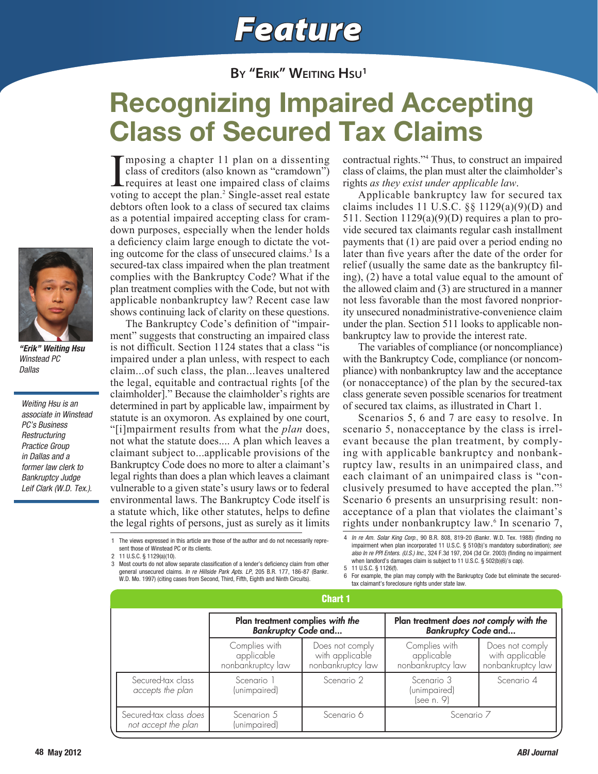# *Feature*

### **By "Erik" Weiting Hsu1**

## Recognizing Impaired Accepting Class of Secured Tax Claims

I<br>voti mposing a chapter 11 plan on a dissenting class of creditors (also known as "cramdown") requires at least one impaired class of claims voting to accept the plan.<sup>2</sup> Single-asset real estate debtors often look to a class of secured tax claims as a potential impaired accepting class for cramdown purposes, especially when the lender holds a deficiency claim large enough to dictate the voting outcome for the class of unsecured claims.<sup>3</sup> Is a secured-tax class impaired when the plan treatment complies with the Bankruptcy Code? What if the plan treatment complies with the Code, but not with applicable nonbankruptcy law? Recent case law shows continuing lack of clarity on these questions.

The Bankruptcy Code's definition of "impairment" suggests that constructing an impaired class is not difficult. Section 1124 states that a class "is impaired under a plan unless, with respect to each claim...of such class, the plan...leaves unaltered the legal, equitable and contractual rights [of the claimholder]." Because the claimholder's rights are determined in part by applicable law, impairment by statute is an oxymoron. As explained by one court, "[i]mpairment results from what the *plan* does, not what the statute does.... A plan which leaves a claimant subject to...applicable provisions of the Bankruptcy Code does no more to alter a claimant's legal rights than does a plan which leaves a claimant vulnerable to a given state's usury laws or to federal environmental laws. The Bankruptcy Code itself is a statute which, like other statutes, helps to define the legal rights of persons, just as surely as it limits

contractual rights."<sup>4</sup> Thus, to construct an impaired class of claims, the plan must alter the claimholder's rights *as they exist under applicable law*.

Applicable bankruptcy law for secured tax claims includes 11 U.S.C.  $\S$  1129(a)(9)(D) and 511. Section  $1129(a)(9)(D)$  requires a plan to provide secured tax claimants regular cash installment payments that (1) are paid over a period ending no later than five years after the date of the order for relief (usually the same date as the bankruptcy filing), (2) have a total value equal to the amount of the allowed claim and (3) are structured in a manner not less favorable than the most favored nonpriority unsecured nonadministrative-convenience claim under the plan. Section 511 looks to applicable nonbankruptcy law to provide the interest rate.

The variables of compliance (or noncompliance) with the Bankruptcy Code, compliance (or noncompliance) with nonbankruptcy law and the acceptance (or nonacceptance) of the plan by the secured-tax class generate seven possible scenarios for treatment of secured tax claims, as illustrated in Chart 1.

Scenarios 5, 6 and 7 are easy to resolve. In scenario 5, nonacceptance by the class is irrelevant because the plan treatment, by complying with applicable bankruptcy and nonbankruptcy law, results in an unimpaired class, and each claimant of an unimpaired class is "conclusively presumed to have accepted the plan."5 Scenario 6 presents an unsurprising result: nonacceptance of a plan that violates the claimant's rights under nonbankruptcy law.<sup>6</sup> In scenario 7,

1 The views expressed in this article are those of the author and do not necessarily represent those of Winstead PC or its clients.

2 11 U.S.C. § 1129(a)(10).

3 Most courts do not allow separate classification of a lender's deficiency claim from other general unsecured claims. *In re Hillside Park Apts. LP*, 205 B.R. 177, 186-87 (Bankr. W.D. Mo. 1997) (citing cases from Second, Third, Fifth, Eighth and Ninth Circuits).

4 *In re Am. Solar King Corp.*, 90 B.R. 808, 819-20 (Bankr. W.D. Tex. 1988) (finding no impairment when plan incorporated 11 U.S.C. § 510(b)'s mandatory subordination); *see also In re PPI Enters. (U.S.) Inc.*, 324 F.3d 197, 204 (3d Cir. 2003) (finding no impairment when landlord's damages claim is subject to 11 U.S.C. § 502(b)(6)'s cap). 5 11 U.S.C. § 1126(f).

6 For example, the plan may comply with the Bankruptcy Code but eliminate the securedtax claimant's foreclosure rights under state law.

| Chart 1                                       |                                                                |                                                         |                                                                       |                                                         |
|-----------------------------------------------|----------------------------------------------------------------|---------------------------------------------------------|-----------------------------------------------------------------------|---------------------------------------------------------|
|                                               | Plan treatment complies with the<br><b>Bankruptcy Code and</b> |                                                         | Plan treatment does not comply with the<br><b>Bankruptcy Code and</b> |                                                         |
|                                               | Complies with<br>applicable<br>nonbankruptcy law               | Does not comply<br>with applicable<br>nonbankruptcy law | Complies with<br>applicable<br>nonbankruptcy law                      | Does not comply<br>with applicable<br>nonbankruptcy law |
| Secured-tax class<br>accepts the plan         | Scenario 1<br>(unimpaired)                                     | Scenario 2                                              | Scenario 3<br>(unimpaired)<br>(see n. 9)                              | Scenario 4                                              |
| Secured-tax class does<br>not accept the plan | Scenarion 5<br>(unimpaired)                                    | Scenario 6                                              | Scenario 7                                                            |                                                         |



*"Erik" Weiting Hsu Winstead PC Dallas*

*Weiting Hsu is an associate in Winstead PC's Business Restructuring Practice Group in Dallas and a former law clerk to Bankruptcy Judge Leif Clark (W.D. Tex.).*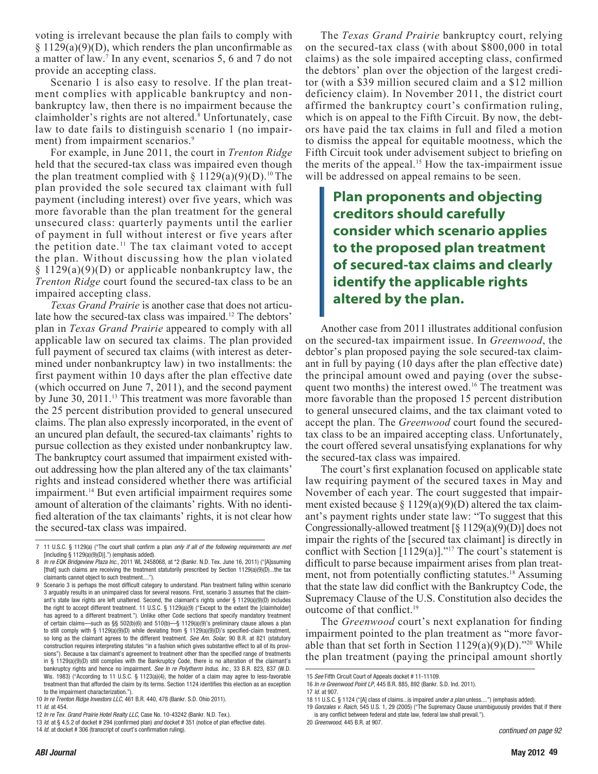voting is irrelevant because the plan fails to comply with  $§ 1129(a)(9)(D)$ , which renders the plan unconfirmable as a matter of law.7 In any event, scenarios 5, 6 and 7 do not provide an accepting class.

Scenario 1 is also easy to resolve. If the plan treatment complies with applicable bankruptcy and nonbankruptcy law, then there is no impairment because the claimholder's rights are not altered.<sup>8</sup> Unfortunately, case law to date fails to distinguish scenario 1 (no impairment) from impairment scenarios.<sup>9</sup>

For example, in June 2011, the court in *Trenton Ridge* held that the secured-tax class was impaired even though the plan treatment complied with  $\S 1129(a)(9)(D)$ .<sup>10</sup> The plan provided the sole secured tax claimant with full payment (including interest) over five years, which was more favorable than the plan treatment for the general unsecured class: quarterly payments until the earlier of payment in full without interest or five years after the petition date.<sup>11</sup> The tax claimant voted to accept the plan. Without discussing how the plan violated  $\S 1129(a)(9)(D)$  or applicable nonbankruptcy law, the *Trenton Ridge* court found the secured-tax class to be an impaired accepting class.

*Texas Grand Prairie* is another case that does not articulate how the secured-tax class was impaired.<sup>12</sup> The debtors' plan in *Texas Grand Prairie* appeared to comply with all applicable law on secured tax claims. The plan provided full payment of secured tax claims (with interest as determined under nonbankruptcy law) in two installments: the first payment within 10 days after the plan effective date (which occurred on June 7, 2011), and the second payment by June 30, 2011.<sup>13</sup> This treatment was more favorable than the 25 percent distribution provided to general unsecured claims. The plan also expressly incorporated, in the event of an uncured plan default, the secured-tax claimants' rights to pursue collection as they existed under nonbankruptcy law. The bankruptcy court assumed that impairment existed without addressing how the plan altered any of the tax claimants' rights and instead considered whether there was artificial impairment.14 But even artificial impairment requires some amount of alteration of the claimants' rights. With no identified alteration of the tax claimants' rights, it is not clear how the secured-tax class was impaired.

The *Texas Grand Prairie* bankruptcy court, relying on the secured-tax class (with about \$800,000 in total claims) as the sole impaired accepting class, confirmed the debtors' plan over the objection of the largest creditor (with a \$39 million secured claim and a \$12 million deficiency claim). In November 2011, the district court affirmed the bankruptcy court's confirmation ruling, which is on appeal to the Fifth Circuit. By now, the debtors have paid the tax claims in full and filed a motion to dismiss the appeal for equitable mootness, which the Fifth Circuit took under advisement subject to briefing on the merits of the appeal.<sup>15</sup> How the tax-impairment issue will be addressed on appeal remains to be seen.

**Plan proponents and objecting creditors should carefully consider which scenario applies to the proposed plan treatment of secured-tax claims and clearly identify the applicable rights altered by the plan.**

Another case from 2011 illustrates additional confusion on the secured-tax impairment issue. In *Greenwood*, the debtor's plan proposed paying the sole secured-tax claimant in full by paying (10 days after the plan effective date) the principal amount owed and paying (over the subsequent two months) the interest owed.<sup>16</sup> The treatment was more favorable than the proposed 15 percent distribution to general unsecured claims, and the tax claimant voted to accept the plan. The *Greenwood* court found the securedtax class to be an impaired accepting class. Unfortunately, the court offered several unsatisfying explanations for why the secured-tax class was impaired.

The court's first explanation focused on applicable state law requiring payment of the secured taxes in May and November of each year. The court suggested that impairment existed because  $\S 1129(a)(9)(D)$  altered the tax claimant's payment rights under state law: "To suggest that this Congressionally-allowed treatment  $\lceil \xi \cdot 1129(a)(9)(D) \rceil$  does not impair the rights of the [secured tax claimant] is directly in conflict with Section [1129(a)]."<sup>17</sup> The court's statement is difficult to parse because impairment arises from plan treatment, not from potentially conflicting statutes.<sup>18</sup> Assuming that the state law did conflict with the Bankruptcy Code, the Supremacy Clause of the U.S. Constitution also decides the outcome of that conflict.<sup>19</sup>

The *Greenwood* court's next explanation for finding impairment pointed to the plan treatment as "more favorable than that set forth in Section  $1129(a)(9)(D)$ ."<sup>20</sup> While the plan treatment (paying the principal amount shortly

*continued on page 92*

<sup>7</sup> 11 U.S.C. § 1129(a) ("The court shall confirm a plan *only if all of the following requirements are met*  [including § 1129(a)(9)(D)].") (emphasis added).

<sup>8</sup> *In re EQK Bridgeview Plaza Inc.*, 2011 WL 2458068, at \*2 (Bankr. N.D. Tex. June 16, 2011) ("[A]ssuming [that] such claims are receiving the treatment statutorily prescribed by Section 1129(a)(9)(D)...the tax claimants cannot object to such treatment....").

<sup>9</sup> Scenario 3 is perhaps the most difficult category to understand. Plan treatment falling within scenario 3 arguably results in an unimpaired class for several reasons. First, scenario 3 assumes that the claimant's state law rights are left unaltered. Second, the claimant's rights under § 1129(a)(9)(D) includes the right to accept different treatment. 11 U.S.C. § 1129(a)(9) ("Except to the extent the [claimholder] has agreed to a different treatment."). Unlike other Code sections that specify mandatory treatment of certain claims—such as §§ 502(b)(6) and 510(b)—§ 1129(a)(9)'s preliminary clause allows a plan to still comply with § 1129(a)(9)(D) while deviating from § 1129(a)(9)(D)'s specified-claim treatment, so long as the claimant agrees to the different treatment. *See Am. Solar*, 90 B.R. at 821 (statutory construction requires interpreting statutes "in a fashion which gives substantive effect to all of its provisions"). Because a tax claimant's agreement to treatment other than the specified range of treatments in § 1129(a)(9)(D) still complies with the Bankruptcy Code, there is no alteration of the claimant's bankruptcy rights and hence no impairment. *See In re Polytherm Indus. Inc.*, 33 B.R. 823, 837 (W.D. Wis. 1983) ("According to 11 U.S.C. § 1123(a)(4), the holder of a claim may agree to less-favorable treatment than that afforded the claim by its terms. Section 1124 identifies this election as an exception to the impairment characterization.").

<sup>10</sup> *In re Trenton Ridge Investors LLC*, 461 B.R. 440, 478 (Bankr. S.D. Ohio 2011).

<sup>11</sup> *Id*. at 454.

<sup>12</sup> *In re Tex. Grand Prairie Hotel Realty LLC*, Case No. 10-43242 (Bankr. N.D. Tex.).

<sup>13</sup> *Id*. at § 4.5.2 of docket # 294 (confirmed plan) *and* docket # 351 (notice of plan effective date). 14 *Id*. at docket # 306 (transcript of court's confirmation ruling).

<sup>15</sup> *See* Fifth Circuit Court of Appeals docket # 11-11109.

<sup>16</sup> *In re Greenwood Point LP*, 445 B.R. 885, 892 (Bankr. S.D. Ind. 2011).

<sup>17</sup> *Id*. at 907.

<sup>18</sup> 11 U.S.C. § 1124 ("[A] class of claims...is impaired *under a plan* unless....") (emphasis added).

<sup>19</sup> *Gonzales v. Raich*, 545 U.S. 1, 29 (2005) ("The Supremacy Clause unambiguously provides that if there is any conflict between federal and state law, federal law shall prevail.").

<sup>20</sup> *Greenwood*, 445 B.R. at 907.